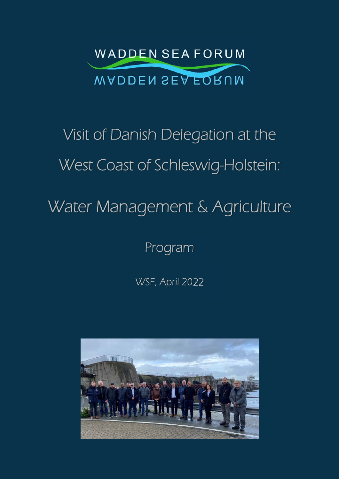

# Visit of Danish Delegation at the West Coast of Schleswig-Holstein:

# Water Management & Agriculture

Program

WSF, April 2022

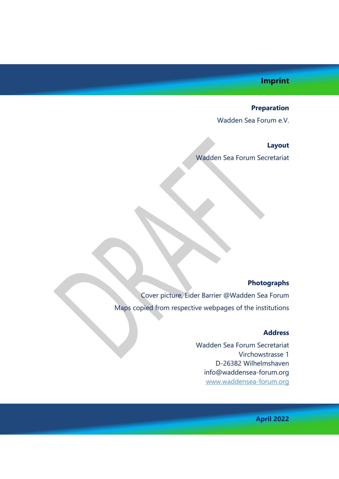### **Imprint**

#### **Preparation**

Wadden Sea Forum e.V.

#### **Layout**

Wadden Sea Forum Secretariat

#### **Photographs**

Cover picture, Eider Barrier @Wadden Sea Forum Maps copied from respective webpages of the institutions

#### **Address**

Wadden Sea Forum Secretariat Virchowstrasse 1 D-26382 Wilhelmshaven info@waddensea-forum.org www.waddensea-forum.org

**April 2022**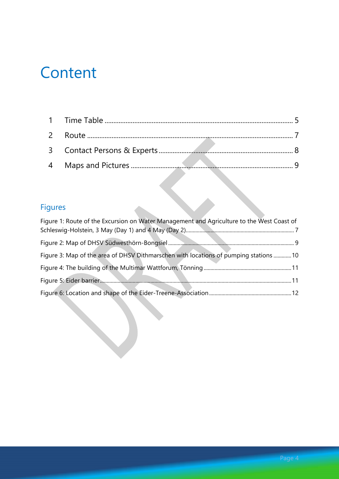# **Content**

## Figures

| Figure 1: Route of the Excursion on Water Management and Agriculture to the West Coast of |  |
|-------------------------------------------------------------------------------------------|--|
|                                                                                           |  |
|                                                                                           |  |
| Figure 3: Map of the area of DHSV Dithmarschen with locations of pumping stations  10     |  |
|                                                                                           |  |
|                                                                                           |  |
|                                                                                           |  |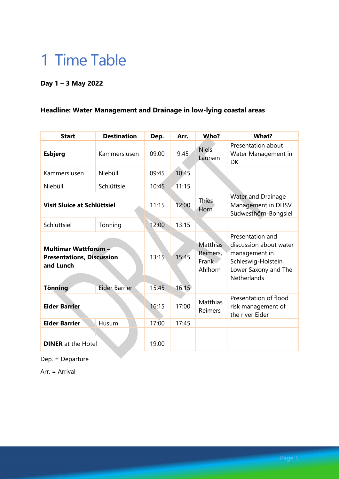# 1 Time Table

### **Day 1 – 3 May 2022**

### **Headline: Water Management and Drainage in low-lying coastal areas**

| <b>Start</b>                                                                 | <b>Destination</b>   | Dep.  | Arr.  | Who?                                     | <b>What?</b>                                                                                                                     |
|------------------------------------------------------------------------------|----------------------|-------|-------|------------------------------------------|----------------------------------------------------------------------------------------------------------------------------------|
| <b>Esbjerg</b>                                                               | Kammerslusen         | 09:00 | 9:45  | <b>Niels</b><br>Laursen                  | Presentation about<br>Water Management in<br><b>DK</b>                                                                           |
| Kammerslusen                                                                 | Niebüll              | 09:45 | 10:45 |                                          |                                                                                                                                  |
| Niebüll                                                                      | Schlüttsiel          | 10:45 | 11:15 |                                          |                                                                                                                                  |
| <b>Visit Sluice at Schlüttsiel</b>                                           |                      | 11:15 | 12:00 | <b>Thies</b><br>Horn                     | Water and Drainage<br>Management in DHSV<br>Südwesthörn-Bongsiel                                                                 |
| Schlüttsiel                                                                  | Tönning              | 12:00 | 13:15 |                                          |                                                                                                                                  |
| <b>Multimar Wattforum -</b><br><b>Presentations, Discussion</b><br>and Lunch |                      | 13:15 | 15:45 | Matthias<br>Reimers,<br>Frank<br>Ahlhorn | Presentation and<br>discussion about water<br>management in<br>Schleswig-Holstein,<br>Lower Saxony and The<br><b>Netherlands</b> |
| <b>Tönning</b>                                                               | <b>Eider Barrier</b> | 15:45 | 16:15 |                                          |                                                                                                                                  |
| <b>Eider Barrier</b>                                                         |                      | 16:15 | 17:00 | <b>Matthias</b><br>Reimers               | Presentation of flood<br>risk management of<br>the river Eider                                                                   |
| <b>Eider Barrier</b>                                                         | Husum                | 17:00 | 17:45 |                                          |                                                                                                                                  |
|                                                                              |                      |       |       |                                          |                                                                                                                                  |
| <b>DINER</b> at the Hotel                                                    |                      | 19:00 |       |                                          |                                                                                                                                  |

Dep. = Departure

Arr. = Arrival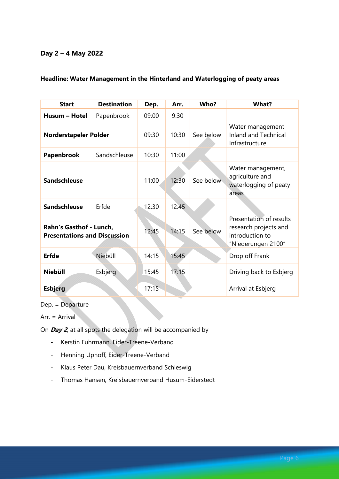#### **Day 2 – 4 May 2022**

| <b>Start</b>                                                   | <b>Destination</b> | Dep.  | Arr.  | Who?      | What?                                                                                     |
|----------------------------------------------------------------|--------------------|-------|-------|-----------|-------------------------------------------------------------------------------------------|
| Husum - Hotel                                                  | Papenbrook         | 09:00 | 9:30  |           |                                                                                           |
| Norderstapeler Polder                                          |                    | 09:30 | 10:30 | See below | Water management<br><b>Inland and Technical</b><br>Infrastructure                         |
| Papenbrook                                                     | Sandschleuse       | 10:30 | 11:00 |           |                                                                                           |
| <b>Sandschleuse</b>                                            |                    | 11:00 | 12:30 | See below | Water management,<br>agriculture and<br>waterlogging of peaty<br>areas                    |
| <b>Sandschleuse</b>                                            | Erfde              | 12:30 | 12:45 |           |                                                                                           |
| Rahn's Gasthof - Lunch,<br><b>Presentations and Discussion</b> |                    | 12:45 | 14:15 | See below | Presentation of results<br>research projects and<br>introduction to<br>"Niederungen 2100" |
| <b>Erfde</b>                                                   | Niebüll            | 14:15 | 15:45 |           | Drop off Frank                                                                            |
| <b>Niebüll</b>                                                 | Esbjerg            | 15:45 | 17:15 |           | Driving back to Esbjerg                                                                   |
| <b>Esbjerg</b>                                                 |                    | 17:15 |       |           | Arrival at Esbjerg                                                                        |

#### **Headline: Water Management in the Hinterland and Waterlogging of peaty areas**

Dep. = Departure

Arr. = Arrival

On **Day 2**, at all spots the delegation will be accompanied by

- Kerstin Fuhrmann, Eider-Treene-Verband
- Henning Uphoff, Eider-Treene-Verband
- Klaus Peter Dau, Kreisbauernverband Schleswig
- Thomas Hansen, Kreisbauernverband Husum-Eiderstedt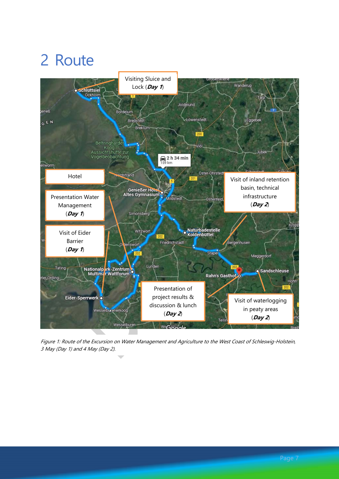# 2 Route



Figure 1: Route of the Excursion on Water Management and Agriculture to the West Coast of Schleswig-Holstein, 3 May (Day 1) and 4 May (Day 2).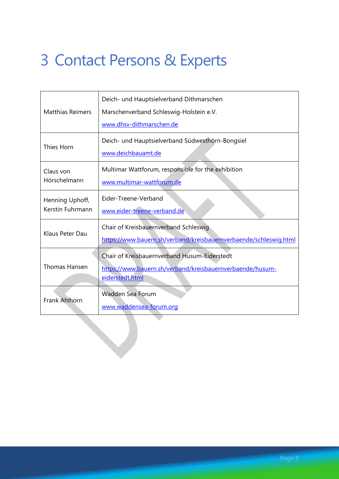# 3 Contact Persons & Experts

| <b>Matthias Reimers</b>             | Deich- und Hauptsielverband Dithmarschen<br>Marschenverband Schleswig-Holstein e.V.<br>www.dhsv-dithmarschen.de              |  |  |
|-------------------------------------|------------------------------------------------------------------------------------------------------------------------------|--|--|
| Thies Horn                          | Deich- und Hauptsielverband Südwesthörn-Bongsiel<br>www.deichbauamt.de                                                       |  |  |
| Claus von<br>Hörschelmann           | Multimar Wattforum, responsible for the exhibition<br>www.multimar-wattforum.de                                              |  |  |
| Henning Uphoff,<br>Kerstin Fuhrmann | Eider-Treene-Verband<br>www.eider-treene-verband.de                                                                          |  |  |
| Klaus Peter Dau                     | Chair of Kreisbauernverband Schleswig<br>https://www.bauern.sh/verband/kreisbauernverbaende/schleswig.html                   |  |  |
| Thomas Hansen                       | Chair of Kreisbauernverband Husum-Eiderstedt<br>https://www.bauern.sh/verband/kreisbauernverbaende/husum-<br>eiderstedt.html |  |  |
| Frank Ahlhorn                       | Wadden Sea Forum<br>www.waddensea-forum.org                                                                                  |  |  |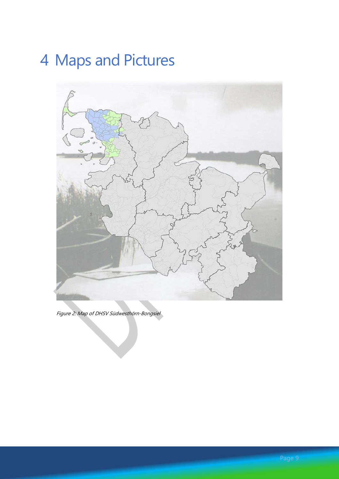# 4 Maps and Pictures



Figure 2: Map of DHSV Südwesthörn-Bongsiel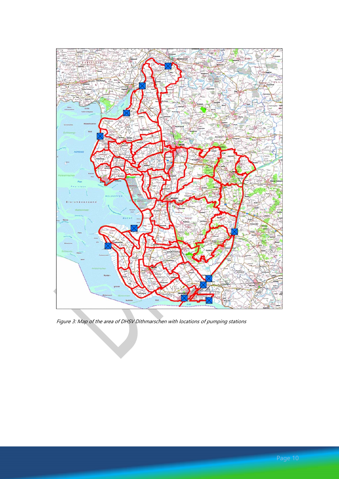

Figure 3: Map of the area of DHSV Dithmarschen with locations of pumping stations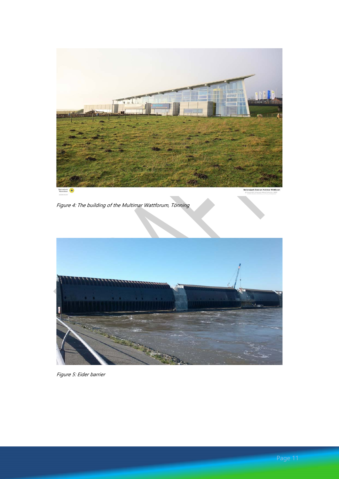

Figure 4: The building of the Multimar Wattforum, Tönning



Figure 5: Eider barrier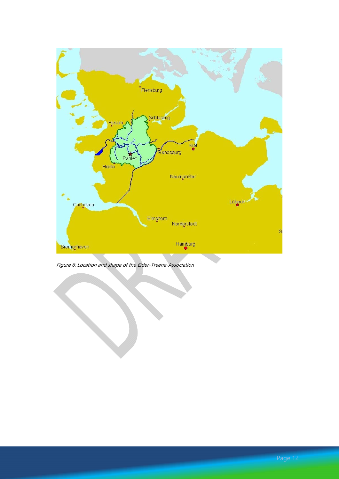

Figure 6: Location and shape of the Eider-Treene-Association